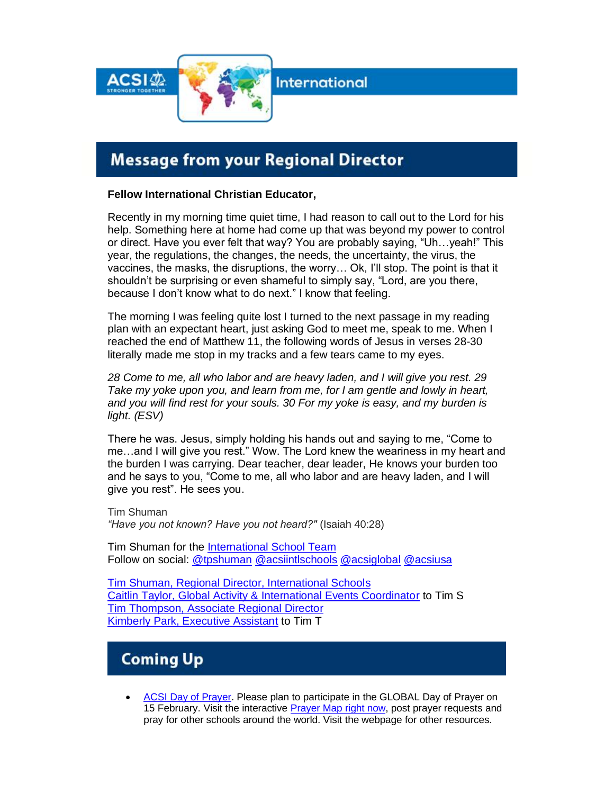

**International** 

# **Message from your Regional Director**

#### **Fellow International Christian Educator,**

Recently in my morning time quiet time, I had reason to call out to the Lord for his help. Something here at home had come up that was beyond my power to control or direct. Have you ever felt that way? You are probably saying, "Uh…yeah!" This year, the regulations, the changes, the needs, the uncertainty, the virus, the vaccines, the masks, the disruptions, the worry… Ok, I'll stop. The point is that it shouldn't be surprising or even shameful to simply say, "Lord, are you there, because I don't know what to do next." I know that feeling.

The morning I was feeling quite lost I turned to the next passage in my reading plan with an expectant heart, just asking God to meet me, speak to me. When I reached the end of Matthew 11, the following words of Jesus in verses 28-30 literally made me stop in my tracks and a few tears came to my eyes.

*28 Come to me, all who labor and are heavy laden, and I will give you rest. 29 Take my yoke upon you, and learn from me, for I am gentle and lowly in heart, and you will find rest for your souls. 30 For my yoke is easy, and my burden is light. (ESV)*

There he was. Jesus, simply holding his hands out and saying to me, "Come to me…and I will give you rest." Wow. The Lord knew the weariness in my heart and the burden I was carrying. Dear teacher, dear leader, He knows your burden too and he says to you, "Come to me, all who labor and are heavy laden, and I will give you rest". He sees you.

Tim Shuman *"Have you not known? Have you not heard?"* (Isaiah 40:28)

Tim Shuman for the [International School Team](https://community.acsi.org/global/international/intlteam) Follow on social: [@tpshuman](https://twitter.com/tpshuman) [@acsiintlschools](https://twitter.com/ACSIINTLSCHOOLS) [@acsiglobal](https://twitter.com/AcsiGlobal) [@acsiusa](https://twitter.com/ACSIUSA)

[Tim Shuman, Regional Director, International Schools](mailto:tim_shuman@acsi.org) [Caitlin Taylor, Global Activity & International Events Coordinator](mailto:caitlin_taylor@acsi.org) to Tim S [Tim Thompson, Associate Regional Director](mailto:tim_thompson@acsi.org) [Kimberly Park, Executive Assistant](mailto:kimberly_park@acsi.org) to Tim T

# **Coming Up**

• [ACSI Day of Prayer.](https://www.acsi.org/day-of-prayer) Please plan to participate in the GLOBAL Day of Prayer on 15 February. Visit the interactive [Prayer Map right now,](https://www.acsi.org/day-of-prayer#pray-for-one-another) post prayer requests and pray for other schools around the world. Visit the webpage for other resources.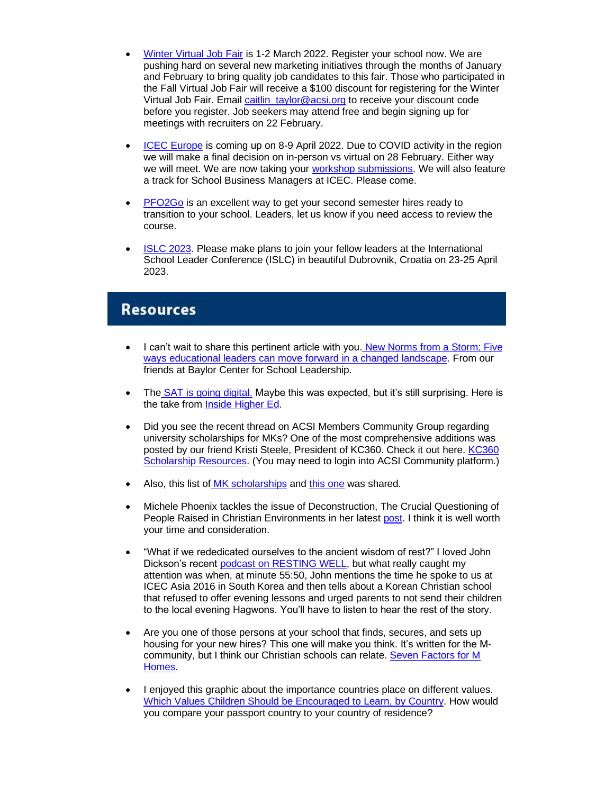- [Winter Virtual Job Fair](https://www.acsi.org/global/international-schools/events/job-fair/2022-winter-virtual-job-fair) is 1-2 March 2022. Register your school now. We are pushing hard on several new marketing initiatives through the months of January and February to bring quality job candidates to this fair. Those who participated in the Fall Virtual Job Fair will receive a \$100 discount for registering for the Winter Virtual Job Fair. Email [caitlin\\_taylor@acsi.org](mailto:caitlin_taylor@acsi.org) to receive your discount code before you register. Job seekers may attend free and begin signing up for meetings with recruiters on 22 February.
- [ICEC Europe](https://www.acsi.org/global/international-schools/events/icec-europe-2022) is coming up on 8-9 April 2022. Due to COVID activity in the region we will make a final decision on in-person vs virtual on 28 February. Either way we will meet. We are now taking your workshop [submissions.](https://docs.google.com/forms/d/1iFNG7nvxinPpdCHXXP7plh2dup4BbjyiLY4zkalgsz0/edit) We will also feature a track for School Business Managers at ICEC. Please come.
- **[PFO2Go](http://link.acsi.org/c/6/?T=ODcyOTMzMTM%3AMDItYjIxMTg3LWEwMGNhZWI1MGYwNDQyOGVhODQ0YTQzZGYyZGQ0NGEx%3AY3BsQGJmYWNhZGVteS5kZQ%3AY29udGFjdC01NDhiZTA1MDQwNjNlODExODBkMDAyYmZjMGE4MDE3Mi1mZDI5MzA1NzQ1MzU0MGU5ODdhOThkZmZjZDdjZTVlOQ%3AZmFsc2U%3AMTA%3A%3AaHR0cHM6Ly93d3cuYWNzaS5vcmcvZ2xvYmFsL2ludGVybmF0aW9uYWwtc2Nob29scy9ldmVudHMvcGZvMmdvP19jbGRlZT1ZM0JzUUdKbVlXTmhaR1Z0ZVM1a1pRJTNkJTNkJnJlY2lwaWVudGlkPWNvbnRhY3QtNTQ4YmUwNTA0MDYzZTgxMTgwZDAwMmJmYzBhODAxNzItZmQyOTMwNTc0NTM1NDBlOTg3YTk4ZGZmY2Q3Y2U1ZTkmZXNpZD1iNDM1NzEzMC0wMmQ2LWViMTEtODExMy0wMDBkM2EwM2ZhYWY&K=S2iPMvtcdcDO6-_8Dtg-sg)** is an excellent way to get your second semester hires ready to transition to your school. Leaders, let us know if you need access to review the course.
- [ISLC 2023.](https://www.acsi.org/global/international-schools/events/islc-2023/) Please make plans to join your fellow leaders at the International School Leader Conference (ISLC) in beautiful Dubrovnik, Croatia on 23-25 April 2023.

#### **Resources**

- I can't wait to share this pertinent article with you. New Norms from a Storm: Five [ways educational leaders can move forward in a changed landscape.](https://sites.baylor.edu/bcsl/2022/01/25/new-norms-from-a-storm-five-ways-educational-leaders-can-move-forward-in-a-changed-landscape/) From our friends at Baylor Center for School Leadership.
- The [SAT is going digital.](https://newsroom.collegeboard.org/digital-sat-brings-student-friendly-changes-test-experience) Maybe this was expected, but it's still surprising. Here is the take from [Inside Higher Ed.](https://www.insidehighered.com/admissions/article/2022/01/31/sat-will-go-digital-and-cut-hour-test)
- Did you see the recent thread on ACSI Members Community Group regarding university scholarships for MKs? One of the most comprehensive additions was posted by our friend Kristi Steele, President of KC360. Check it out here. [KC360](https://higherlogicdownload.s3-external-1.amazonaws.com/ACSI/aea07a70-6945-4bdf-a718-226217298940_file.pdf?AWSAccessKeyId=AKIAVRDO7IEREB57R7MT&Expires=1643739327&Signature=ulFs6Ne7FsnyK4FLMc5dhD5cwJk%3D)  [Scholarship Resources.](https://higherlogicdownload.s3-external-1.amazonaws.com/ACSI/aea07a70-6945-4bdf-a718-226217298940_file.pdf?AWSAccessKeyId=AKIAVRDO7IEREB57R7MT&Expires=1643739327&Signature=ulFs6Ne7FsnyK4FLMc5dhD5cwJk%3D) (You may need to login into ACSI Community platform.)
- Also, this list of [MK scholarships](https://bethanygu.edu/missions/missionary-college-scholarships/) and [this one](https://higherlogicdownload.s3-external-1.amazonaws.com/ACSI/cda028f9-4dee-4424-9011-525eeb1f082d_file.pdf?AWSAccessKeyId=AKIAVRDO7IEREB57R7MT&Expires=1643739264&Signature=GhdaBrPsgRNEVGOPdoo%2FSla1hZE%3D) was shared.
- Michele Phoenix tackles the issue of Deconstruction, The Crucial Questioning of People Raised in Christian Environments in her latest [post.](https://michelephoenix.com/2022/01/deconstruction/) I think it is well worth your time and consideration.
- "What if we rededicated ourselves to the ancient wisdom of rest?" I loved John Dickson's recent [podcast on RESTING WELL,](https://undeceptions.com/podcast/resting-well/) but what really caught my attention was when, at minute 55:50, John mentions the time he spoke to us at ICEC Asia 2016 in South Korea and then tells about a Korean Christian school that refused to offer evening lessons and urged parents to not send their children to the local evening Hagwons. You'll have to listen to hear the rest of the story.
- Are you one of those persons at your school that finds, secures, and sets up housing for your new hires? This one will make you think. It's written for the Mcommunity, but I think our Christian schools can relate. Seven Factors for M [Homes.](https://entrustedtothedirt.com/2022/01/14/seven-factors-for-missionary-homes/)
- I enjoyed this graphic about the importance countries place on different values. [Which Values Children Should be Encouraged to Learn, by Country.](https://www.visualcapitalist.com/cp/which-values-children-should-learn-by-country/) How would you compare your passport country to your country of residence?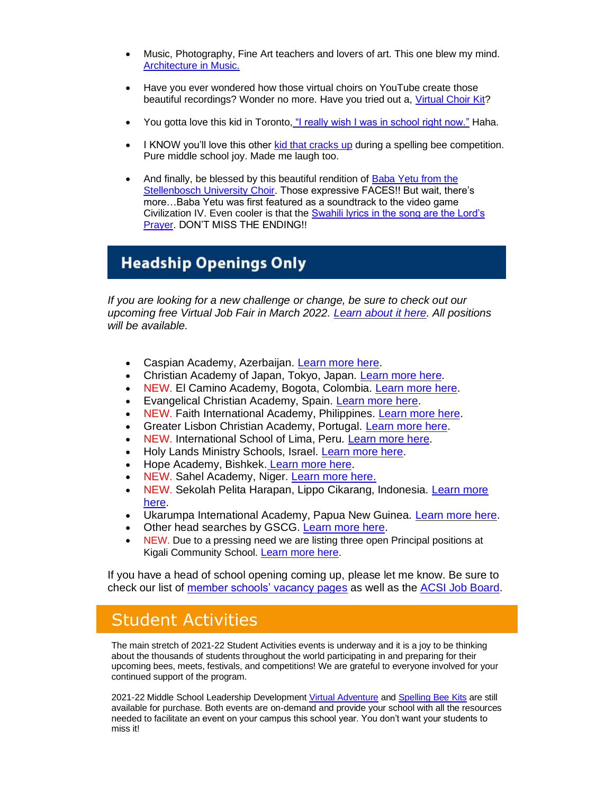- Music, Photography, Fine Art teachers and lovers of art. This one blew my mind. [Architecture in Music.](https://www.charlesbrooks.info/architecture-in-music)
- Have you ever wondered how those virtual choirs on YouTube create those beautiful recordings? Wonder no more. Have you tried out a, [Virtual Choir Kit?](https://www.youtube.com/watch?v=QqdkQy62Rho)
- You gotta love this kid in Toronto, ["I really wish I was in school right now."](https://twitter.com/MeaghanDerynck/status/1483256373592961025) Haha.
- I KNOW you'll love this other [kid that cracks up](https://www.youtube.com/watch?v=iBd1gFDfwnA) during a spelling bee competition. Pure middle school joy. Made me laugh too.
- And finally, be blessed by this beautiful rendition of [Baba Yetu from the](https://www.youtube.com/watch?v=PCa8RxaOPW8)  [Stellenbosch University Choir.](https://www.youtube.com/watch?v=PCa8RxaOPW8) Those expressive FACES!! But wait, there's more…Baba Yetu was first featured as a soundtrack to the video game Civilization IV. Even cooler is that the [Swahili lyrics in the song are the Lord's](https://parkersymphony.org/baba-yetu-meaning-lyrics-awards)  [Prayer.](https://parkersymphony.org/baba-yetu-meaning-lyrics-awards) DON'T MISS THE ENDING!!

## **Headship Openings Only**

*If you are looking for a new challenge or change, be sure to check out our upcoming free Virtual Job Fair in March 2022. [Learn about it here.](https://www.acsi.org/global/international-schools/events/job-fair/2022-winter-virtual-job-fair) All positions will be available.*

- Caspian Academy, Azerbaijan. [Learn more here.](https://www.globalschoolsearches.org/leadership-searches/head-of-school-caspian-academy-azerbaijan)
- Christian Academy of Japan, Tokyo, Japan. [Learn more here.](https://careers.acsi.org/job/head-of-school/57748459/)
- NEW. El Camino Academy, Bogota, Colombia. [Learn more here.](https://www.globalschoolsearches.org/leadership-searches/general-director-bogota-colombia)
- Evangelical Christian Academy, Spain. [Learn more here.](https://new.ecaspain.com/the-director-of-the-evangelical-christian-academy/)
- NEW. Faith International Academy, Philippines. [Learn more here.](https://docs.google.com/document/d/1Y8JY4-_TngNXOefKwRo0cLQwowd7Q_VfuQORbNCxv3M/edit)
- Greater Lisbon Christian Academy, Portugal. [Learn more here.](https://www.glcaramada.com/staff-needs.html)
- NEW. International School of Lima, Peru. [Learn more here.](https://www.nics.org/career-opportunities/international-christian-school-lima/administrator-school-director-2/)
- Holy Lands Ministry Schools, Israel. [Learn more here.](https://www.globalschoolsearches.org/leadership-searches/executive-director-holy-land-ministries-schools-palestine)
- Hope Academy, Bishkek. [Learn more here.](https://www.globalschoolsearches.org/leadership-searches/director-bishkek-kyrgyz-republic)
- NEW. Sahel Academy, Niger. [Learn more here.](https://www2.teachbeyond.org/go/opportunity/director-2)
- NEW. Sekolah Pelita Harapan, Lippo Cikarang, Indonesia. [Learn more](https://sph.edu/wp-content/uploads/2021/12/SPH-Lippo-Cikarang-Head-of-School-Opportunity-Profile.pdf)  [here.](https://sph.edu/wp-content/uploads/2021/12/SPH-Lippo-Cikarang-Head-of-School-Opportunity-Profile.pdf)
- Ukarumpa International Academy, Papua New Guinea. [Learn more here.](https://go.teachbeyond.org/Ukarumpa+International+School/Administration+%28School%29/2218/)
- Other head searches by GSCG. [Learn more here.](https://www.globalschoolsearches.org/)
- NEW. Due to a pressing need we are listing three open Principal positions at Kigali Community School. [Learn more here](https://www.kicsrw.org/working-at-kics).

If you have a head of school opening coming up, please let me know. Be sure to check our list of [member schools' vacancy pages](https://community.acsi.org/global/international/isj-vac) as well as the [ACSI Job Board.](https://careers.acsi.org/)

# Student Activities

The main stretch of 2021-22 Student Activities events is underway and it is a joy to be thinking about the thousands of students throughout the world participating in and preparing for their upcoming bees, meets, festivals, and competitions! We are grateful to everyone involved for your continued support of the program.

2021-22 Middle School Leadership Development [Virtual Adventure](https://your.acsi.org/pdp-store/Product-Catalog/Product-Details?productid=%7b2A09FACC-32E0-EB11-8117-000D3A0DE1A1%7d) and [Spelling Bee Kits](https://www.acsi.org/student-activities/events/spelling-bees) are still available for purchase. Both events are on-demand and provide your school with all the resources needed to facilitate an event on your campus this school year. You don't want your students to miss it!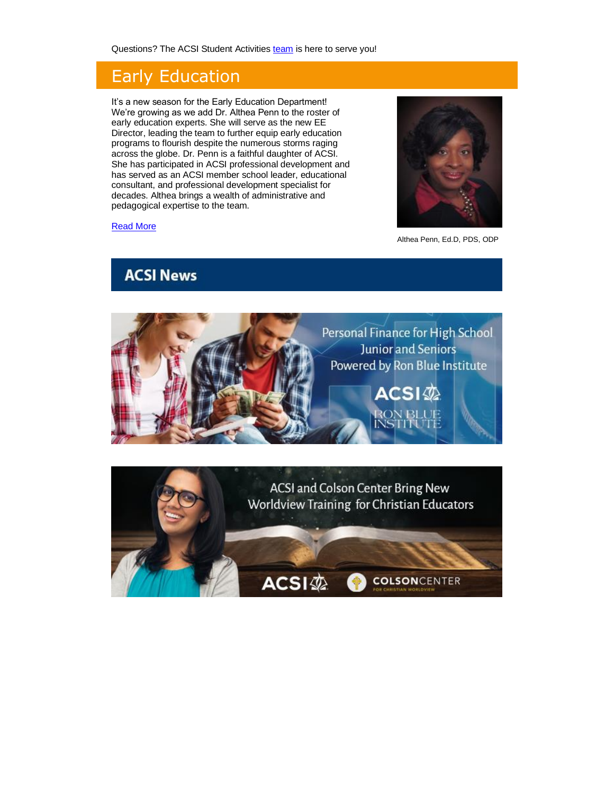Questions? The ACSI Student Activities [team](https://www.acsi.org/academic-programs/student-activities/meet-your-student-activities-team) is here to serve you!

## Early Education

It's a new season for the Early Education Department! We're growing as we add Dr. Althea Penn to the roster of early education experts. She will serve as the new EE Director, leading the team to further equip early education programs to flourish despite the numerous storms raging across the globe. Dr. Penn is a faithful daughter of ACSI. She has participated in ACSI professional development and has served as an ACSI member school leader, educational consultant, and professional development specialist for decades. Althea brings a wealth of administrative and pedagogical expertise to the team.

### [Read More](https://www.acsi.org/academic-programs/early-education/news-and-nuggets)

Althea Penn, Ed.D, PDS, ODP





#### **ACSI News**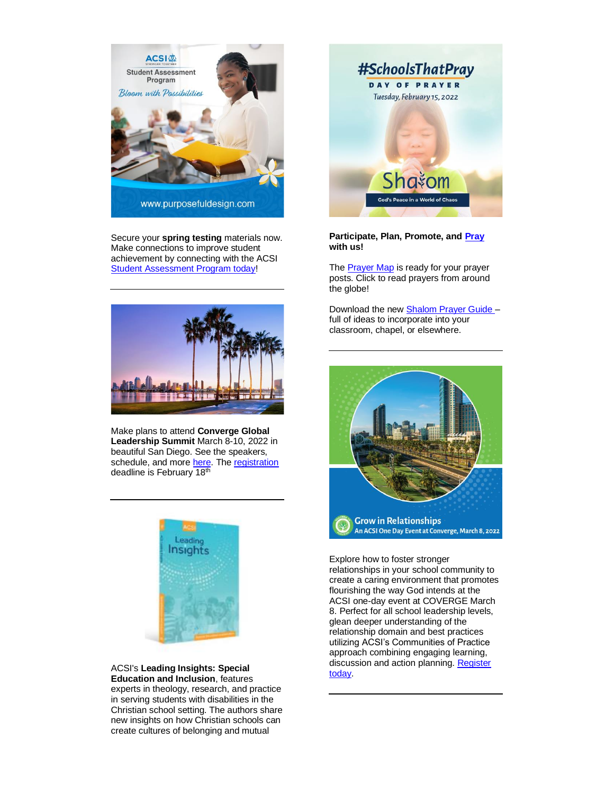

Secure your **spring testing** materials now. Make connections to improve student achievement by connecting with the ACSI [Student Assessment Program today!](https://your.acsi.org/SpringTesting)



Make plans to attend **Converge Global Leadership Summit** March 8-10, 2022 in beautiful San Diego. See the speakers, schedule, and more [here.](https://converge.education/) The registration deadline is February 18th



ACSI's **Leading Insights: Special Education and Inclusion**, features experts in theology, research, and practice in serving students with disabilities in the Christian school setting. The authors share new insights on how Christian schools can create cultures of belonging and mutual



**Participate, Plan, Promote, and [Pray](https://www.acsi.org/day-of-prayer/)  with us!**

The [Prayer Map](https://www.acsi.org/day-of-prayer/#prayer-map) is ready for your prayer posts. Click to read prayers from around the globe!

Download the new [Shalom Prayer Guide](https://www.acsi.org/docs/default-source/documents/dayofprayer/dop_shalom_20229cdfaf88460447d9a8f2977ba5181a06.pdf?sfvrsn=4ddbe857_2) – full of ideas to incorporate into your classroom, chapel, or elsewhere.



Explore how to foster stronger relationships in your school community to create a caring environment that promotes flourishing the way God intends at the ACSI one-day event at COVERGE March 8. Perfect for all school leadership levels, glean deeper understanding of the relationship domain and best practices utilizing ACSI's Communities of Practice approach combining engaging learning, discussion and action planning. [Register](https://your.acsi.org/Events/Calendar-Of-Events/Meeting-Home-Page?meetingid=%7b7D726306-B0D2-EB11-8117-000D3A0DE1A1%7d)  [today.](https://your.acsi.org/Events/Calendar-Of-Events/Meeting-Home-Page?meetingid=%7b7D726306-B0D2-EB11-8117-000D3A0DE1A1%7d)